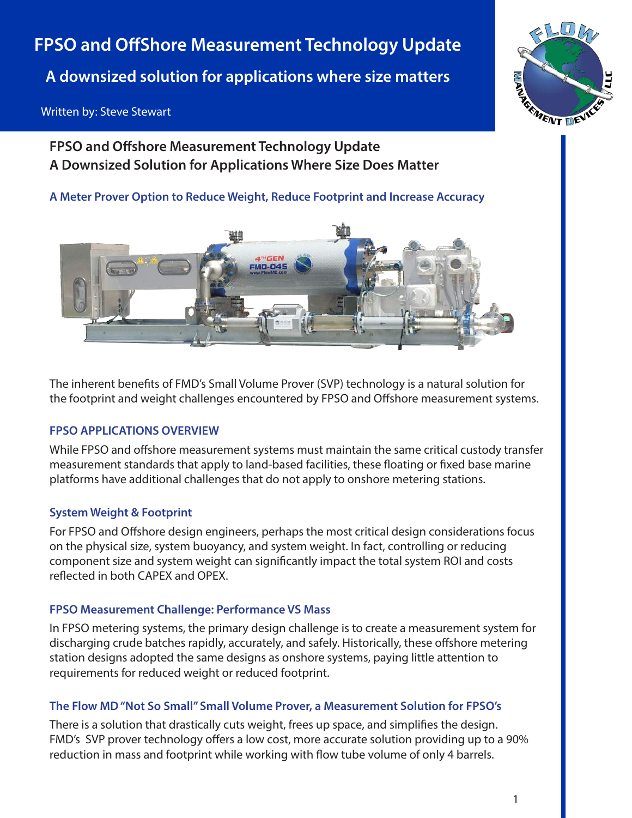# **FPSO and OffShore Measurement Technology Update**

**A downsized solution for applications where size matters**

# Written by: Steve Stewart



**FPSO and Offshore Measurement Technology Update A Downsized Solution for Applications Where Size Does Matter**

**A Meter Prover Option to Reduce Weight, Reduce Footprint and Increase Accuracy**



The inherent benefits of FMD's Small Volume Prover (SVP) technology is a natural solution for the footprint and weight challenges encountered by FPSO and Offshore measurement systems.

# **FPSO APPLICATIONS OVERVIEW**

While FPSO and offshore measurement systems must maintain the same critical custody transfer measurement standards that apply to land-based facilities, these floating or fixed base marine platforms have additional challenges that do not apply to onshore metering stations.

# **System Weight & Footprint**

For FPSO and Offshore design engineers, perhaps the most critical design considerations focus on the physical size, system buoyancy, and system weight. In fact, controlling or reducing component size and system weight can significantly impact the total system ROI and costs reflected in both CAPEX and OPEX.

# **FPSO Measurement Challenge: Performance VS Mass**

In FPSO metering systems, the primary design challenge is to create a measurement system for discharging crude batches rapidly, accurately, and safely. Historically, these offshore metering station designs adopted the same designs as onshore systems, paying little attention to requirements for reduced weight or reduced footprint.

# **The Flow MD "Not So Small" Small Volume Prover, a Measurement Solution for FPSO's**

There is a solution that drastically cuts weight, frees up space, and simplifies the design. FMD's SVP prover technology offers a low cost, more accurate solution providing up to a 90% reduction in mass and footprint while working with flow tube volume of only 4 barrels.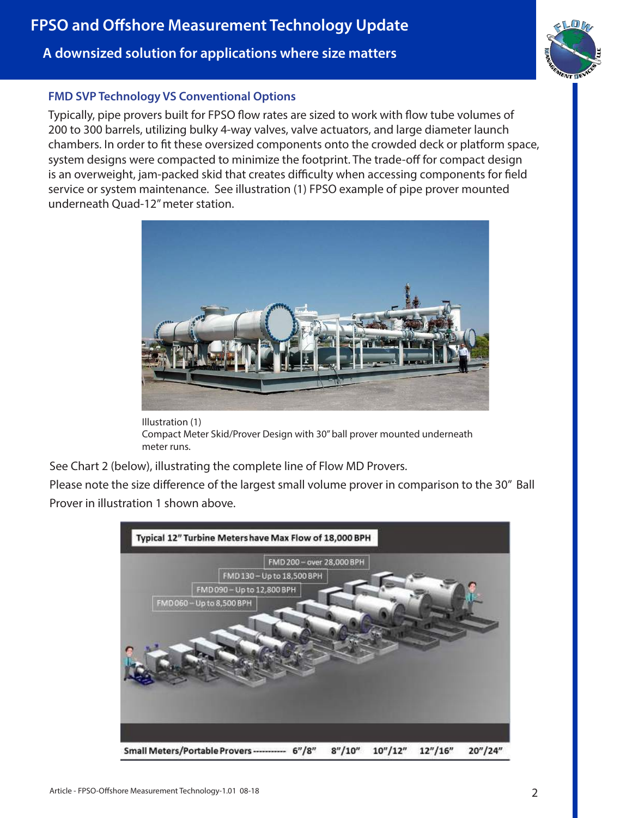# **A downsized solution for applications where size matters**

# **FMD SVP Technology VS Conventional Options**

Typically, pipe provers built for FPSO flow rates are sized to work with flow tube volumes of 200 to 300 barrels, utilizing bulky 4-way valves, valve actuators, and large diameter launch chambers. In order to fit these oversized components onto the crowded deck or platform space, system designs were compacted to minimize the footprint. The trade-off for compact design is an overweight, jam-packed skid that creates difficulty when accessing components for field service or system maintenance. See illustration (1) FPSO example of pipe prover mounted underneath Quad-12" meter station.



Illustration (1) Compact Meter Skid/Prover Design with 30" ball prover mounted underneath meter runs.

See Chart 2 (below), illustrating the complete line of Flow MD Provers.

Please note the size difference of the largest small volume prover in comparison to the 30" Ball Prover in illustration 1 shown above.

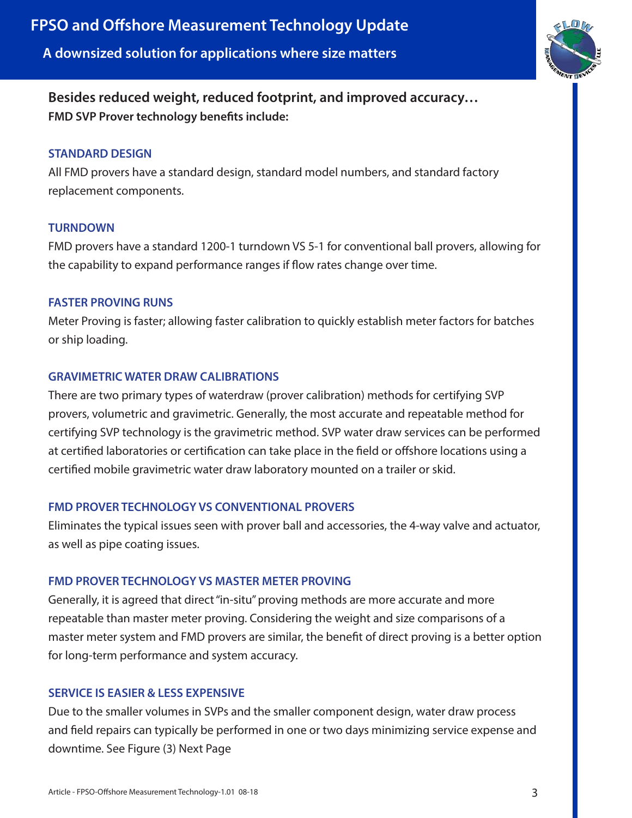

**Besides reduced weight, reduced footprint, and improved accuracy… FMD SVP Prover technology benefits include:** 

#### **STANDARD DESIGN**

All FMD provers have a standard design, standard model numbers, and standard factory replacement components.

#### **TURNDOWN**

FMD provers have a standard 1200-1 turndown VS 5-1 for conventional ball provers, allowing for the capability to expand performance ranges if flow rates change over time.

### **FASTER PROVING RUNS**

Meter Proving is faster; allowing faster calibration to quickly establish meter factors for batches or ship loading.

# **GRAVIMETRIC WATER DRAW CALIBRATIONS**

There are two primary types of waterdraw (prover calibration) methods for certifying SVP provers, volumetric and gravimetric. Generally, the most accurate and repeatable method for certifying SVP technology is the gravimetric method. SVP water draw services can be performed at certified laboratories or certification can take place in the field or offshore locations using a certified mobile gravimetric water draw laboratory mounted on a trailer or skid.

# **FMD PROVER TECHNOLOGY VS CONVENTIONAL PROVERS**

Eliminates the typical issues seen with prover ball and accessories, the 4-way valve and actuator, as well as pipe coating issues.

# **FMD PROVER TECHNOLOGY VS MASTER METER PROVING**

Generally, it is agreed that direct "in-situ" proving methods are more accurate and more repeatable than master meter proving. Considering the weight and size comparisons of a master meter system and FMD provers are similar, the benefit of direct proving is a better option for long-term performance and system accuracy.

# **SERVICE IS EASIER & LESS EXPENSIVE**

Due to the smaller volumes in SVPs and the smaller component design, water draw process and field repairs can typically be performed in one or two days minimizing service expense and downtime. See Figure (3) Next Page